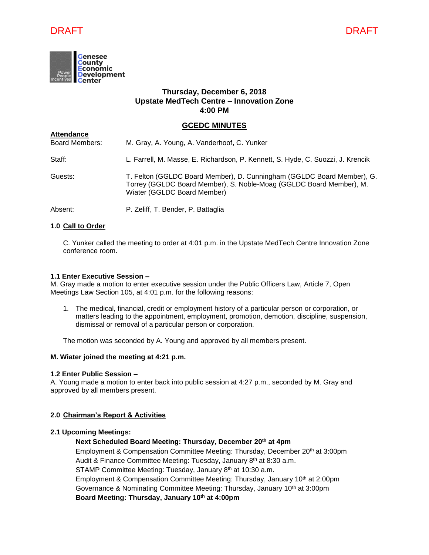



## **Thursday, December 6, 2018 Upstate MedTech Centre – Innovation Zone 4:00 PM**

### **GCEDC MINUTES**

| <b>Attendance</b>     |                                                                                                                                                                              |
|-----------------------|------------------------------------------------------------------------------------------------------------------------------------------------------------------------------|
| <b>Board Members:</b> | M. Gray, A. Young, A. Vanderhoof, C. Yunker                                                                                                                                  |
| Staff:                | L. Farrell, M. Masse, E. Richardson, P. Kennett, S. Hyde, C. Suozzi, J. Krencik                                                                                              |
| Guests:               | T. Felton (GGLDC Board Member), D. Cunningham (GGLDC Board Member), G.<br>Torrey (GGLDC Board Member), S. Noble-Moag (GGLDC Board Member), M.<br>Wiater (GGLDC Board Member) |
| Absent:               | P. Zeliff, T. Bender, P. Battaglia                                                                                                                                           |

### **1.0 Call to Order**

C. Yunker called the meeting to order at 4:01 p.m. in the Upstate MedTech Centre Innovation Zone conference room.

### **1.1 Enter Executive Session –**

M. Gray made a motion to enter executive session under the Public Officers Law, Article 7, Open Meetings Law Section 105, at 4:01 p.m. for the following reasons:

1. The medical, financial, credit or employment history of a particular person or corporation, or matters leading to the appointment, employment, promotion, demotion, discipline, suspension, dismissal or removal of a particular person or corporation.

The motion was seconded by A. Young and approved by all members present.

### **M. Wiater joined the meeting at 4:21 p.m.**

### **1.2 Enter Public Session –**

A. Young made a motion to enter back into public session at 4:27 p.m., seconded by M. Gray and approved by all members present.

### **2.0 Chairman's Report & Activities**

### **2.1 Upcoming Meetings:**

### **Next Scheduled Board Meeting: Thursday, December 20th at 4pm**

Employment & Compensation Committee Meeting: Thursday, December 20<sup>th</sup> at 3:00pm Audit & Finance Committee Meeting: Tuesday, January 8<sup>th</sup> at 8:30 a.m. STAMP Committee Meeting: Tuesday, January 8<sup>th</sup> at 10:30 a.m. Employment & Compensation Committee Meeting: Thursday, January 10<sup>th</sup> at 2:00pm Governance & Nominating Committee Meeting: Thursday, January 10<sup>th</sup> at 3:00pm **Board Meeting: Thursday, January 10th at 4:00pm**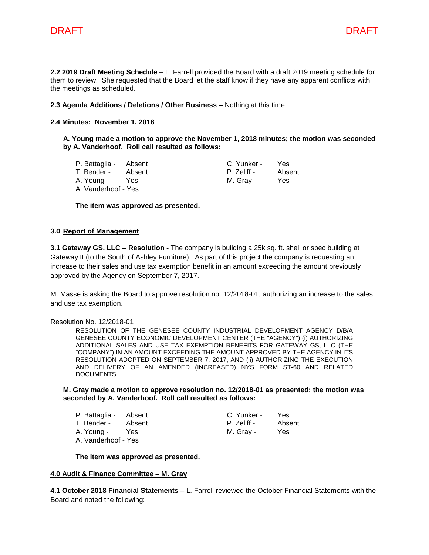

**2.2 2019 Draft Meeting Schedule –** L. Farrell provided the Board with a draft 2019 meeting schedule for them to review. She requested that the Board let the staff know if they have any apparent conflicts with the meetings as scheduled.

### **2.3 Agenda Additions / Deletions / Other Business –** Nothing at this time

### **2.4 Minutes: November 1, 2018**

### **A. Young made a motion to approve the November 1, 2018 minutes; the motion was seconded by A. Vanderhoof. Roll call resulted as follows:**

| P. Battaglia - Absent |        | C. Yunker - | <b>Yes</b> |
|-----------------------|--------|-------------|------------|
| T. Bender -           | Absent | P. Zeliff - | Absent     |
| A. Young -            | Yes    | M. Gray -   | Yes        |
| A. Vanderhoof - Yes   |        |             |            |

**The item was approved as presented.**

### **3.0 Report of Management**

**3.1 Gateway GS, LLC – Resolution -** The company is building a 25k sq. ft. shell or spec building at Gateway II (to the South of Ashley Furniture). As part of this project the company is requesting an increase to their sales and use tax exemption benefit in an amount exceeding the amount previously approved by the Agency on September 7, 2017.

M. Masse is asking the Board to approve resolution no. 12/2018-01, authorizing an increase to the sales and use tax exemption.

### Resolution No. 12/2018-01

RESOLUTION OF THE GENESEE COUNTY INDUSTRIAL DEVELOPMENT AGENCY D/B/A GENESEE COUNTY ECONOMIC DEVELOPMENT CENTER (THE "AGENCY") (i) AUTHORIZING ADDITIONAL SALES AND USE TAX EXEMPTION BENEFITS FOR GATEWAY GS, LLC (THE "COMPANY") IN AN AMOUNT EXCEEDING THE AMOUNT APPROVED BY THE AGENCY IN ITS RESOLUTION ADOPTED ON SEPTEMBER 7, 2017, AND (ii) AUTHORIZING THE EXECUTION AND DELIVERY OF AN AMENDED (INCREASED) NYS FORM ST-60 AND RELATED **DOCUMENTS** 

### **M. Gray made a motion to approve resolution no. 12/2018-01 as presented; the motion was seconded by A. Vanderhoof. Roll call resulted as follows:**

P. Battaglia - Absent C. Yunker - Yes T. Bender - Absent **P. Zeliff - Absent** A. Young - Yes M. Gray - Yes A. Vanderhoof - Yes

### **The item was approved as presented.**

### **4.0 Audit & Finance Committee – M. Gray**

**4.1 October 2018 Financial Statements –** L. Farrell reviewed the October Financial Statements with the Board and noted the following: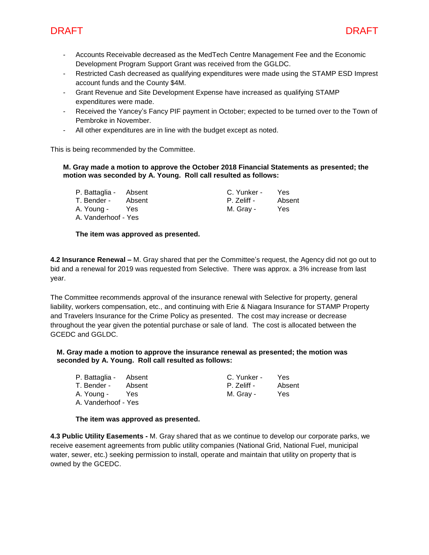

- Accounts Receivable decreased as the MedTech Centre Management Fee and the Economic Development Program Support Grant was received from the GGLDC.
- Restricted Cash decreased as qualifying expenditures were made using the STAMP ESD Imprest account funds and the County \$4M.
- Grant Revenue and Site Development Expense have increased as qualifying STAMP expenditures were made.
- Received the Yancey's Fancy PIF payment in October; expected to be turned over to the Town of Pembroke in November.
- All other expenditures are in line with the budget except as noted.

This is being recommended by the Committee.

### **M. Gray made a motion to approve the October 2018 Financial Statements as presented; the motion was seconded by A. Young. Roll call resulted as follows:**

| P. Battaglia - Absent |        | C. Yunker - | Yes    |
|-----------------------|--------|-------------|--------|
| T. Bender -           | Absent | P. Zeliff - | Absent |
| A. Young -            | Yes    | M. Grav -   | Yes    |
| A. Vanderhoof - Yes   |        |             |        |

### **The item was approved as presented.**

**4.2 Insurance Renewal –** M. Gray shared that per the Committee's request, the Agency did not go out to bid and a renewal for 2019 was requested from Selective. There was approx. a 3% increase from last year.

The Committee recommends approval of the insurance renewal with Selective for property, general liability, workers compensation, etc., and continuing with Erie & Niagara Insurance for STAMP Property and Travelers Insurance for the Crime Policy as presented. The cost may increase or decrease throughout the year given the potential purchase or sale of land. The cost is allocated between the GCEDC and GGLDC.

### **M. Gray made a motion to approve the insurance renewal as presented; the motion was seconded by A. Young. Roll call resulted as follows:**

| P. Battaglia - Absent |        | C. Yunker - | Yes    |
|-----------------------|--------|-------------|--------|
| T. Bender -           | Absent | P. Zeliff - | Absent |
| A. Young -            | Yes    | M. Gray -   | Yes    |
| A. Vanderhoof - Yes   |        |             |        |

### **The item was approved as presented.**

**4.3 Public Utility Easements -** M. Gray shared that as we continue to develop our corporate parks, we receive easement agreements from public utility companies (National Grid, National Fuel, municipal water, sewer, etc.) seeking permission to install, operate and maintain that utility on property that is owned by the GCEDC.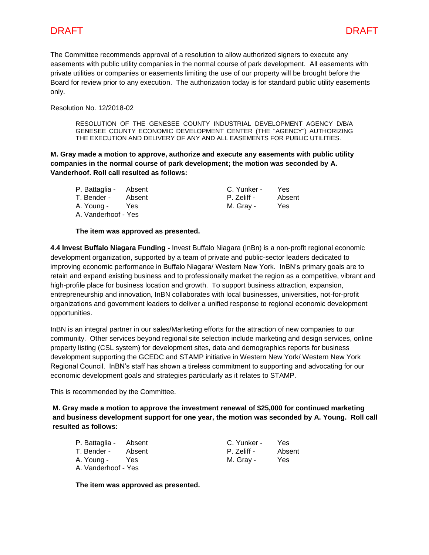The Committee recommends approval of a resolution to allow authorized signers to execute any easements with public utility companies in the normal course of park development. All easements with private utilities or companies or easements limiting the use of our property will be brought before the Board for review prior to any execution. The authorization today is for standard public utility easements only.

Resolution No. 12/2018-02

RESOLUTION OF THE GENESEE COUNTY INDUSTRIAL DEVELOPMENT AGENCY D/B/A GENESEE COUNTY ECONOMIC DEVELOPMENT CENTER (THE "AGENCY") AUTHORIZING THE EXECUTION AND DELIVERY OF ANY AND ALL EASEMENTS FOR PUBLIC UTILITIES.

**M. Gray made a motion to approve, authorize and execute any easements with public utility companies in the normal course of park development; the motion was seconded by A. Vanderhoof. Roll call resulted as follows:**

| P. Battaglia -      | Absent |
|---------------------|--------|
| T. Bender -         | Absent |
| A. Young -          | Yes    |
| A. Vanderhoof - Yes |        |

C. Yunker - Yes P. Zeliff - Absent M. Gray - Yes

### **The item was approved as presented.**

**4.4 Invest Buffalo Niagara Funding -** Invest Buffalo Niagara (InBn) is a non-profit regional economic development organization, supported by a team of private and public-sector leaders dedicated to improving economic performance in Buffalo Niagara/ Western New York. InBN's primary goals are to retain and expand existing business and to professionally market the region as a competitive, vibrant and high-profile place for business location and growth. To support business attraction, expansion, entrepreneurship and innovation, InBN collaborates with local businesses, universities, not-for-profit organizations and government leaders to deliver a unified response to regional economic development opportunities.

InBN is an integral partner in our sales/Marketing efforts for the attraction of new companies to our community. Other services beyond regional site selection include marketing and design services, online property listing (CSL system) for development sites, data and demographics reports for business development supporting the GCEDC and STAMP initiative in Western New York/ Western New York Regional Council. InBN's staff has shown a tireless commitment to supporting and advocating for our economic development goals and strategies particularly as it relates to STAMP.

This is recommended by the Committee.

**M. Gray made a motion to approve the investment renewal of \$25,000 for continued marketing and business development support for one year, the motion was seconded by A. Young. Roll call resulted as follows:**

P. Battaglia - Absent C. Yunker - Yes T. Bender - Absent **P. Zeliff - Absent** A. Young - Yes M. Gray - Yes A. Vanderhoof - Yes

**The item was approved as presented.**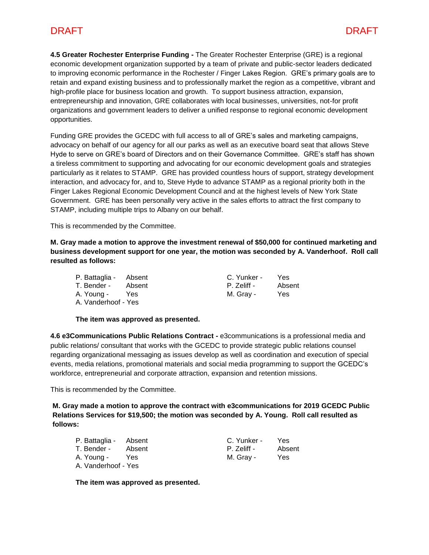# DRAFT DRAFT

**4.5 Greater Rochester Enterprise Funding -** The Greater Rochester Enterprise (GRE) is a regional economic development organization supported by a team of private and public-sector leaders dedicated to improving economic performance in the Rochester / Finger Lakes Region. GRE's primary goals are to retain and expand existing business and to professionally market the region as a competitive, vibrant and high-profile place for business location and growth. To support business attraction, expansion, entrepreneurship and innovation, GRE collaborates with local businesses, universities, not-for profit organizations and government leaders to deliver a unified response to regional economic development opportunities.

Funding GRE provides the GCEDC with full access to all of GRE's sales and marketing campaigns, advocacy on behalf of our agency for all our parks as well as an executive board seat that allows Steve Hyde to serve on GRE's board of Directors and on their Governance Committee. GRE's staff has shown a tireless commitment to supporting and advocating for our economic development goals and strategies particularly as it relates to STAMP. GRE has provided countless hours of support, strategy development interaction, and advocacy for, and to, Steve Hyde to advance STAMP as a regional priority both in the Finger Lakes Regional Economic Development Council and at the highest levels of New York State Government. GRE has been personally very active in the sales efforts to attract the first company to STAMP, including multiple trips to Albany on our behalf.

This is recommended by the Committee.

**M. Gray made a motion to approve the investment renewal of \$50,000 for continued marketing and business development support for one year, the motion was seconded by A. Vanderhoof. Roll call resulted as follows:**

| P. Battaglia - Absent |        | C. Yunker - | Yes    |
|-----------------------|--------|-------------|--------|
| T. Bender -           | Absent | P. Zeliff - | Absent |
| A. Young -            | Yes    | M. Gray -   | Yes    |
| A. Vanderhoof - Yes   |        |             |        |

### **The item was approved as presented.**

**4.6 e3Communications Public Relations Contract -** e3communications is a professional media and public relations/ consultant that works with the GCEDC to provide strategic public relations counsel regarding organizational messaging as issues develop as well as coordination and execution of special events, media relations, promotional materials and social media programming to support the GCEDC's workforce, entrepreneurial and corporate attraction, expansion and retention missions.

This is recommended by the Committee.

**M. Gray made a motion to approve the contract with e3communications for 2019 GCEDC Public Relations Services for \$19,500; the motion was seconded by A. Young. Roll call resulted as follows:**

| P. Battaglia - Absent |        | C. Yunker - | Yes.   |
|-----------------------|--------|-------------|--------|
| T. Bender -           | Absent | P. Zeliff - | Absent |
| A. Young -            | Yes    | M. Gray -   | Yes    |
| A. Vanderhoof - Yes   |        |             |        |

**The item was approved as presented.**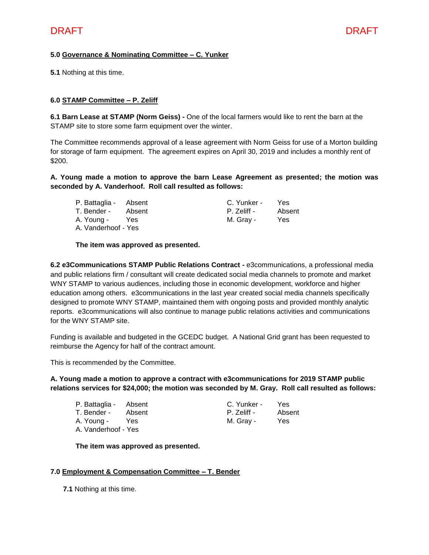# **5.0 Governance & Nominating Committee – C. Yunker**

**5.1** Nothing at this time.

### **6.0 STAMP Committee – P. Zeliff**

**6.1 Barn Lease at STAMP (Norm Geiss) -** One of the local farmers would like to rent the barn at the STAMP site to store some farm equipment over the winter.

The Committee recommends approval of a lease agreement with Norm Geiss for use of a Morton building for storage of farm equipment. The agreement expires on April 30, 2019 and includes a monthly rent of \$200.

### **A. Young made a motion to approve the barn Lease Agreement as presented; the motion was seconded by A. Vanderhoof. Roll call resulted as follows:**

| P. Battaglia - Absent |        | C. Yunker - | Yes    |
|-----------------------|--------|-------------|--------|
| T. Bender -           | Absent | P. Zeliff - | Absent |
| A. Young -            | Yes.   | M. Gray -   | Yes    |
| A. Vanderhoof - Yes   |        |             |        |

### **The item was approved as presented.**

**6.2 e3Communications STAMP Public Relations Contract -** e3communications, a professional media and public relations firm / consultant will create dedicated social media channels to promote and market WNY STAMP to various audiences, including those in economic development, workforce and higher education among others. e3communications in the last year created social media channels specifically designed to promote WNY STAMP, maintained them with ongoing posts and provided monthly analytic reports. e3communications will also continue to manage public relations activities and communications for the WNY STAMP site.

Funding is available and budgeted in the GCEDC budget. A National Grid grant has been requested to reimburse the Agency for half of the contract amount.

This is recommended by the Committee.

### **A. Young made a motion to approve a contract with e3communications for 2019 STAMP public relations services for \$24,000; the motion was seconded by M. Gray. Roll call resulted as follows:**

| P. Battaglia -      | Absent |
|---------------------|--------|
| T. Bender -         | Absent |
| A. Young -          | Yes    |
| A. Vanderhoof - Yes |        |

C. Yunker - Yes P. Zeliff - Absent M. Gray - Yes

**The item was approved as presented.**

### **7.0 Employment & Compensation Committee – T. Bender**

**7.1** Nothing at this time.